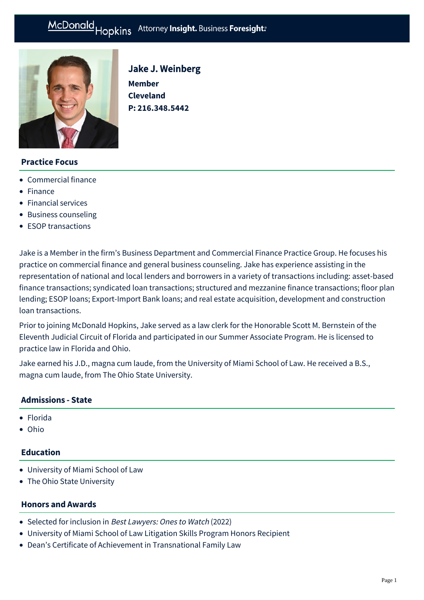# McDonald Hopkins Attorney Insight. Business Foresight:

Jake J. Weinberg

**P: [216.348.5442](tel:216.348.5442)**

**Member Cleveland** 



## **Practice Focus**

- [Commercial finance](https://mcdonaldhopkins.com/Expertise/Finance/Commercial-finance)
- [Finance](https://mcdonaldhopkins.com/Expertise/Finance)
- [Financial services](https://mcdonaldhopkins.com/Expertise/Industries/Financial-services)
- [Business counseling](https://mcdonaldhopkins.com/Expertise/Business-counseling)
- [ESOP transactions](https://mcdonaldhopkins.com/Expertise/Business-counseling/ESOP-transactions)

Jake is a Member in the firm's Business Department and Commercial Finance Practice Group. He focuses his practice on commercial finance and general business counseling. Jake has experience assisting in the representation of national and local lenders and borrowers in a variety of transactions including: asset-based finance transactions; syndicated loan transactions; structured and mezzanine finance transactions; floor plan lending; ESOP loans; Export-Import Bank loans; and real estate acquisition, development and construction loan transactions.

Prior to joining McDonald Hopkins, Jake served as a law clerk for the Honorable Scott M. Bernstein of the Eleventh Judicial Circuit of Florida and participated in our Summer Associate Program. He is licensed to practice law in Florida and Ohio.

Jake earned his J.D., magna cum laude, from the University of Miami School of Law. He received a B.S., magna cum laude, from The Ohio State University.

## **Admissions - State**

- Florida
- Ohio

# **Education**

- University of Miami School of Law
- The Ohio State University

#### **Honors and Awards**

- Selected for inclusion in Best Lawyers: Ones to Watch (2022)
- University of Miami School of Law Litigation Skills Program Honors Recipient
- Dean's Certificate of Achievement in Transnational Family Law